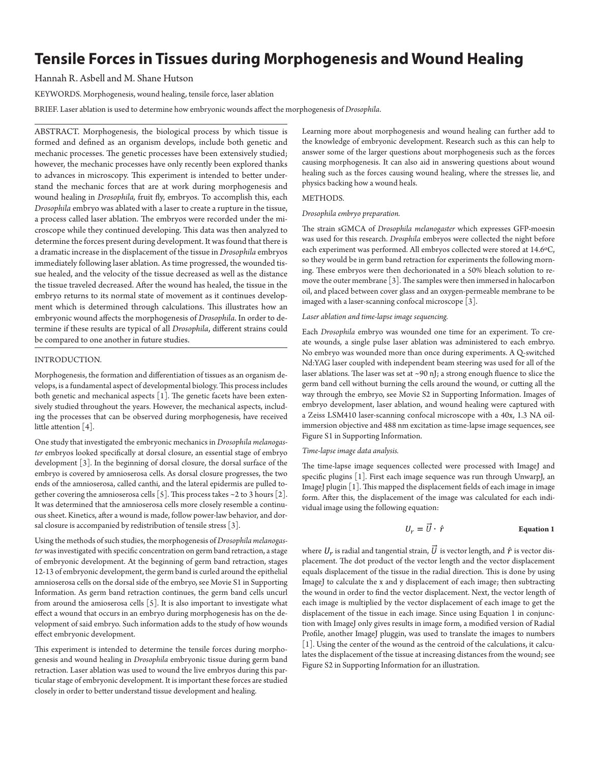# **Tensile Forces in Tissues during Morphogenesis and Wound Healing**

# Hannah R. Asbell and M. Shane Hutson

KEYWORDS. Morphogenesis, wound healing, tensile force, laser ablation

BRIEF. Laser ablation is used to determine how embryonic wounds affect the morphogenesis of *Drosophila*.

ABSTRACT. Morphogenesis, the biological process by which tissue is formed and defined as an organism develops, include both genetic and mechanic processes. The genetic processes have been extensively studied; however, the mechanic processes have only recently been explored thanks to advances in microscopy. This experiment is intended to better understand the mechanic forces that are at work during morphogenesis and wound healing in *Drosophila,* fruit fly, embryos. To accomplish this, each *Drosophila* embryo was ablated with a laser to create a rupture in the tissue, a process called laser ablation. The embryos were recorded under the microscope while they continued developing. This data was then analyzed to determine the forces present during development. It was found that there is a dramatic increase in the displacement of the tissue in *Drosophila* embryos immediately following laser ablation. As time progressed, the wounded tissue healed, and the velocity of the tissue decreased as well as the distance the tissue traveled decreased. After the wound has healed, the tissue in the embryo returns to its normal state of movement as it continues development which is determined through calculations. This illustrates how an embryonic wound affects the morphogenesis of *Drosophila*. In order to determine if these results are typical of all *Drosophila*, different strains could be compared to one another in future studies.

#### INTRODUCTION.

Morphogenesis, the formation and differentiation of tissues as an organism develops, is a fundamental aspect of developmental biology. This process includes both genetic and mechanical aspects [1]. The genetic facets have been extensively studied throughout the years. However, the mechanical aspects, including the processes that can be observed during morphogenesis, have received little attention [4].

One study that investigated the embryonic mechanics in *Drosophila melanogaster* embryos looked specifically at dorsal closure, an essential stage of embryo development [3]. In the beginning of dorsal closure, the dorsal surface of the embryo is covered by amnioserosa cells. As dorsal closure progresses, the two ends of the amnioserosa, called canthi, and the lateral epidermis are pulled together covering the amnioserosa cells [5]. This process takes  $\sim$  2 to 3 hours [2]. It was determined that the amnioserosa cells more closely resemble a continuous sheet. Kinetics, after a wound is made, follow power-law behavior, and dorsal closure is accompanied by redistribution of tensile stress [3].

Using the methods of such studies, the morphogenesis of *Drosophila melanogaster* was investigated with specific concentration on germ band retraction, a stage of embryonic development. At the beginning of germ band retraction, stages 12-13 of embryonic development, the germ band is curled around the epithelial amnioserosa cells on the dorsal side of the embryo, see Movie S1 in Supporting Information. As germ band retraction continues, the germ band cells uncurl from around the amioserosa cells [5]. It is also important to investigate what effect a wound that occurs in an embryo during morphogenesis has on the development of said embryo. Such information adds to the study of how wounds effect embryonic development.

This experiment is intended to determine the tensile forces during morphogenesis and wound healing in *Drosophila* embryonic tissue during germ band retraction. Laser ablation was used to wound the live embryos during this particular stage of embryonic development. It is important these forces are studied closely in order to better understand tissue development and healing.

Learning more about morphogenesis and wound healing can further add to the knowledge of embryonic development. Research such as this can help to answer some of the larger questions about morphogenesis such as the forces causing morphogenesis. It can also aid in answering questions about wound healing such as the forces causing wound healing, where the stresses lie, and physics backing how a wound heals.

## METHODS.

#### *Drosophila embryo preparation.*

The strain sGMCA of *Drosophila melanogaster* which expresses GFP-moesin was used for this research. *Drosphila* embryos were collected the night before each experiment was performed. All embryos collected were stored at 14.6ºC, so they would be in germ band retraction for experiments the following morning. These embryos were then dechorionated in a 50% bleach solution to remove the outer membrane [3]. The samples were then immersed in halocarbon oil, and placed between cover glass and an oxygen-permeable membrane to be imaged with a laser-scanning confocal microscope [3].

#### *Laser ablation and time-lapse image sequencing.*

Each *Drosophila* embryo was wounded one time for an experiment. To create wounds, a single pulse laser ablation was administered to each embryo. No embryo was wounded more than once during experiments. A Q-switched Nd:YAG laser coupled with independent beam steering was used for all of the laser ablations. The laser was set at ~90 nJ; a strong enough fluence to slice the germ band cell without burning the cells around the wound, or cutting all the way through the embryo, see Movie S2 in Supporting Information. Images of embryo development, laser ablation, and wound healing were captured with a Zeiss LSM410 laser-scanning confocal microscope with a 40x, 1.3 NA oilimmersion objective and 488 nm excitation as time-lapse image sequences, see Figure S1 in Supporting Information.

#### *Time-lapse image data analysis.*

The time-lapse image sequences collected were processed with ImageJ and specific plugins [1]. First each image sequence was run through UnwarpJ, an ImageJ plugin [1]. This mapped the displacement fields of each image in image form. After this, the displacement of the image was calculated for each individual image using the following equation:

$$
U_r = U \cdot \hat{r}
$$
 Equation 1

where  $U_r$  is radial and tangential strain,  $\vec{U}$  is vector length, and  $\hat{r}$  is vector displacement. The dot product of the vector length and the vector displacement equals displacement of the tissue in the radial direction. This is done by using ImageJ to calculate the x and y displacement of each image; then subtracting the wound in order to find the vector displacement. Next, the vector length of each image is multiplied by the vector displacement of each image to get the displacement of the tissue in each image. Since using Equation 1 in conjunction with ImageJ only gives results in image form, a modified version of Radial Profile, another ImageJ pluggin, was used to translate the images to numbers [1]. Using the center of the wound as the centroid of the calculations, it calculates the displacement of the tissue at increasing distances from the wound; see Figure S2 in Supporting Information for an illustration.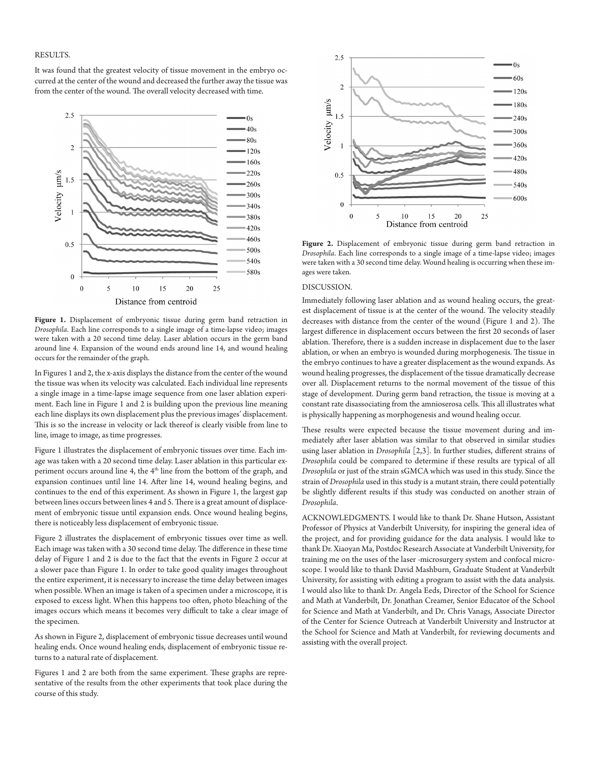#### RESULTS.

It was found that the greatest velocity of tissue movement in the embryo occurred at the center of the wound and decreased the further away the tissue was from the center of the wound. The overall velocity decreased with time.



Figure 1. Displacement of embryonic tissue during germ band retraction in *Drosophila*. Each line corresponds to a single image of a time-lapse video; images were taken with a 20 second time delay. Laser ablation occurs in the germ band around line 4. Expansion of the wound ends around line 14, and wound healing occurs for the remainder of the graph.

In Figures 1 and 2, the x-axis displays the distance from the center of the wound the tissue was when its velocity was calculated. Each individual line represents a single image in a time-lapse image sequence from one laser ablation experiment. Each line in Figure 1 and 2 is building upon the previous line meaning each line displays its own displacement plus the previous images' displacement. This is so the increase in velocity or lack thereof is clearly visible from line to line, image to image, as time progresses.

Figure 1 illustrates the displacement of embryonic tissues over time. Each image was taken with a 20 second time delay. Laser ablation in this particular experiment occurs around line 4, the 4<sup>th</sup> line from the bottom of the graph, and expansion continues until line 14. After line 14, wound healing begins, and continues to the end of this experiment. As shown in Figure 1, the largest gap between lines occurs between lines 4 and 5. There is a great amount of displacement of embryonic tissue until expansion ends. Once wound healing begins, there is noticeably less displacement of embryonic tissue.

Figure 2 illustrates the displacement of embryonic tissues over time as well. Each image was taken with a 30 second time delay. The difference in these time delay of Figure 1 and 2 is due to the fact that the events in Figure 2 occur at a slower pace than Figure 1. In order to take good quality images throughout the entire experiment, it is necessary to increase the time delay between images when possible. When an image is taken of a specimen under a microscope, it is exposed to excess light. When this happens too often, photo bleaching of the images occurs which means it becomes very difficult to take a clear image of the specimen.

As shown in Figure 2, displacement of embryonic tissue decreases until wound healing ends. Once wound healing ends, displacement of embryonic tissue returns to a natural rate of displacement.

Figures 1 and 2 are both from the same experiment. These graphs are representative of the results from the other experiments that took place during the course of this study.



**Figure 2.** Displacement of embryonic tissue during germ band retraction in *Drosophila*. Each line corresponds to a single image of a time-lapse video; images were taken with a 30 second time delay. Wound healing is occurring when these images were taken.

## DISCUSSION.

Immediately following laser ablation and as wound healing occurs, the greatest displacement of tissue is at the center of the wound. The velocity steadily decreases with distance from the center of the wound (Figure 1 and 2). The largest difference in displacement occurs between the first 20 seconds of laser ablation. Therefore, there is a sudden increase in displacement due to the laser ablation, or when an embryo is wounded during morphogenesis. The tissue in the embryo continues to have a greater displacement as the wound expands. As wound healing progresses, the displacement of the tissue dramatically decrease over all. Displacement returns to the normal movement of the tissue of this stage of development. During germ band retraction, the tissue is moving at a constant rate disassociating from the amnioserosa cells. This all illustrates what is physically happening as morphogenesis and wound healing occur.

These results were expected because the tissue movement during and immediately after laser ablation was similar to that observed in similar studies using laser ablation in *Drosophila* [2,3]. In further studies, different strains of *Drosophila* could be compared to determine if these results are typical of all *Drosophila* or just of the strain sGMCA which was used in this study. Since the strain of *Drosophila* used in this study is a mutant strain, there could potentially be slightly different results if this study was conducted on another strain of *Drosophila*.

ACKNOWLEDGMENTS. I would like to thank Dr. Shane Hutson, Assistant Professor of Physics at Vanderbilt University, for inspiring the general idea of the project, and for providing guidance for the data analysis. I would like to thank Dr. Xiaoyan Ma, Postdoc Research Associate at Vanderbilt University, for training me on the uses of the laser -microsurgery system and confocal microscope. I would like to thank David Mashburn, Graduate Student at Vanderbilt University, for assisting with editing a program to assist with the data analysis. I would also like to thank Dr. Angela Eeds, Director of the School for Science and Math at Vanderbilt, Dr. Jonathan Creamer, Senior Educator of the School for Science and Math at Vanderbilt, and Dr. Chris Vanags, Associate Director of the Center for Science Outreach at Vanderbilt University and Instructor at the School for Science and Math at Vanderbilt, for reviewing documents and assisting with the overall project.